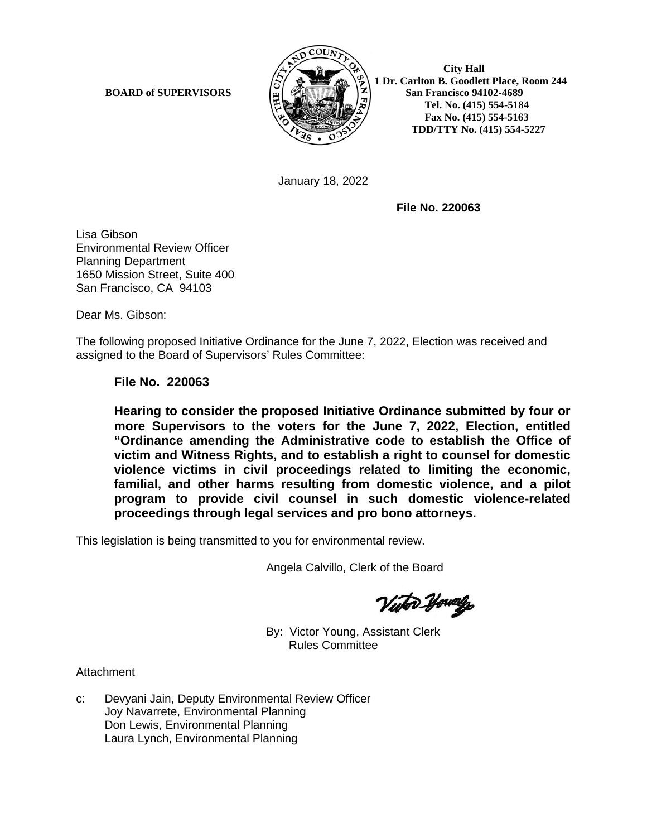

 **1 Dr. Carlton B. Goodlett Place, Room 244 BOARD of SUPERVISORS**  $\omega$   $\omega$   $\approx$  **SALE FRANCISCO 84102-4689 Tel. No. (415) 554-5184 Fax No. (415) 554-5163 TDD/TTY No. (415) 554-5227**

January 18, 2022

**File No. 220063**

Lisa Gibson Environmental Review Officer Planning Department 1650 Mission Street, Suite 400 San Francisco, CA 94103

Dear Ms. Gibson:

The following proposed Initiative Ordinance for the June 7, 2022, Election was received and assigned to the Board of Supervisors' Rules Committee:

### **File No. 220063**

**Hearing to consider the proposed Initiative Ordinance submitted by four or more Supervisors to the voters for the June 7, 2022, Election, entitled "Ordinance amending the Administrative code to establish the Office of victim and Witness Rights, and to establish a right to counsel for domestic violence victims in civil proceedings related to limiting the economic, familial, and other harms resulting from domestic violence, and a pilot program to provide civil counsel in such domestic violence-related proceedings through legal services and pro bono attorneys.**

This legislation is being transmitted to you for environmental review.

Angela Calvillo, Clerk of the Board

Visto Houry

By: Victor Young, Assistant Clerk Rules Committee

Attachment

c: Devyani Jain, Deputy Environmental Review Officer Joy Navarrete, Environmental Planning Don Lewis, Environmental Planning Laura Lynch, Environmental Planning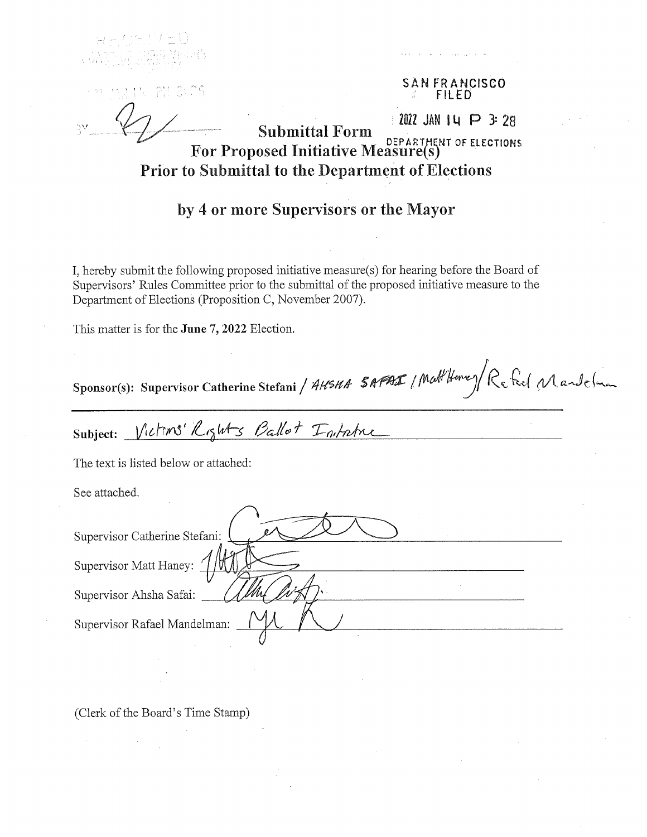

**SAN FRANCISCO FILED** 

 $1022$  JAN 14  $\Box$  3: 28

**Submittal Form SUDILITION IN DEPARTMENT OF ELECTIONS**<br>For Proposed Initiative Measure(s) **Prior to Submittal to the Department of Elections** 

## by 4 or more Supervisors or the Mayor

I, hereby submit the following proposed initiative measure(s) for hearing before the Board of Supervisors' Rules Committee prior to the submittal of the proposed initiative measure to the Department of Elections (Proposition C, November 2007).

This matter is for the June 7, 2022 Election.

Sponsor(s): Supervisor Catherine Stefani / AHSHA SAPAI / Matt Home) Re feel Mandelman

Subject: Victims' Rights Ballot Intatre

The text is listed below or attached:

See attached.

| Supervisor Catherine Stefani: |
|-------------------------------|
| Supervisor Matt Haney:        |
| Supervisor Ahsha Safai:       |
| Supervisor Rafael Mandelman:  |

(Clerk of the Board's Time Stamp)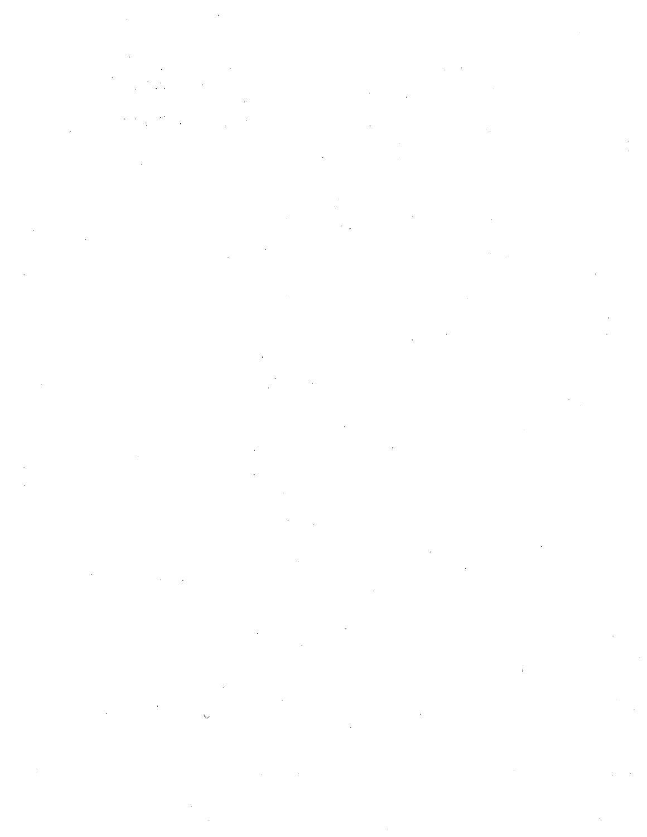$\label{eq:2.1} \mathcal{L}(\mathcal{L}) = \mathcal{L}(\mathcal{L}) \mathcal{L}(\mathcal{L})$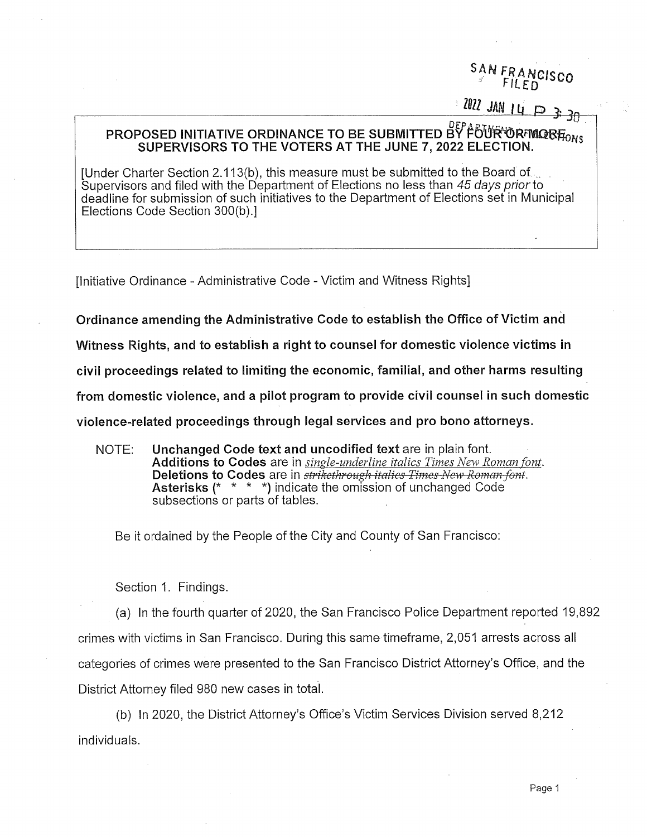## **SAN FRANCISCO** FILED

1022 JAN 14 P 3: 30

# PROPOSED INITIATIVE ORDINANCE TO BE SUBMITTED BY FOUR ORFMORFIONS SUPERVISORS TO THE VOTERS AT THE JUNE 7, 2022 ELECTION.

[Under Charter Section 2.113(b), this measure must be submitted to the Board of... Supervisors and filed with the Department of Elections no less than 45 days prior to deadline for submission of such initiatives to the Department of Elections set in Municipal Elections Code Section 300(b).]

Initiative Ordinance - Administrative Code - Victim and Witness Rights]

Ordinance amending the Administrative Code to establish the Office of Victim and

Witness Rights, and to establish a right to counsel for domestic violence victims in

civil proceedings related to limiting the economic, familial, and other harms resulting

from domestic violence, and a pilot program to provide civil counsel in such domestic

violence-related proceedings through legal services and pro bono attorneys.

NOTE: Unchanged Code text and uncodified text are in plain font. Additions to Codes are in single-underline italics Times New Roman font. Deletions to Codes are in **strikethrough italics Times New Roman font**. Asterisks (\* \* \* \*) indicate the omission of unchanged Code subsections or parts of tables.

Be it ordained by the People of the City and County of San Francisco:

Section 1. Findings.

(a) In the fourth quarter of 2020, the San Francisco Police Department reported 19,892 crimes with victims in San Francisco. During this same timeframe, 2,051 arrests across all categories of crimes were presented to the San Francisco District Attorney's Office, and the District Attorney filed 980 new cases in total.

(b) In 2020, the District Attorney's Office's Victim Services Division served 8,212 individuals.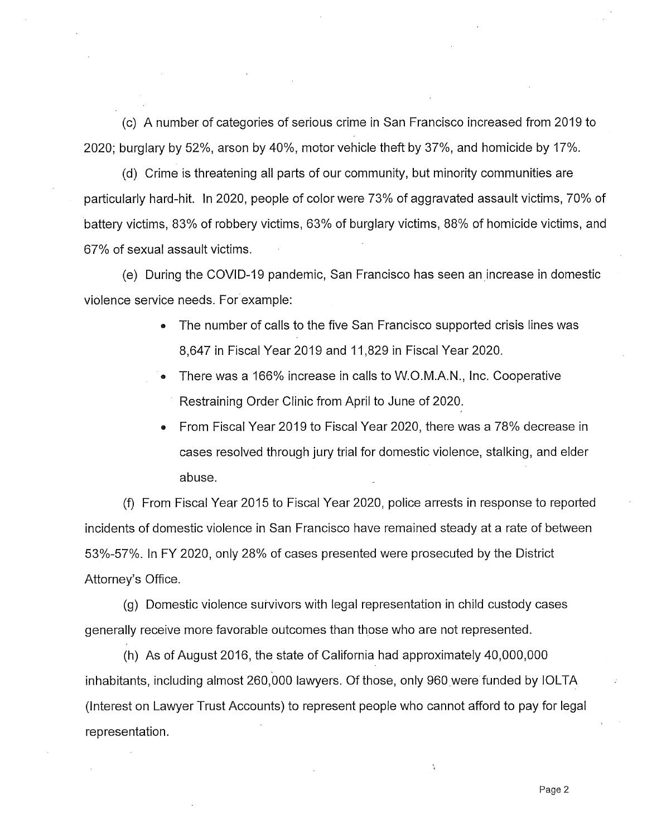(c) A number of categories of serious crime in San Francisco increased from 2019 to 2020; burglary by 52%, arson by 40%, motor vehicle theft by 37%, and homicide by 17%.

(d) Crime is threatening all parts of our community, but minority communities are particularly hard-hit. In 2020, people of color were 73% of aggravated assault victims, 70% of battery victims, 83% of robbery victims, 63% of burglary victims, 88% of homicide victims, and 67% of sexual assault victims.

(e) During the COVID-19 pandemic, San Francisco has seen an increase in domestic violence service needs. For example:

- The number of calls to the five San Francisco supported crisis lines was 8,647 in Fiscal Year 2019 and 11,829 in Fiscal Year 2020.
- There was a 166% increase in calls to W.O.M.A.N., Inc. Cooperative Restraining Order Clinic from April to June of 2020.
- From Fiscal Year 2019 to Fiscal Year 2020, there was a 78% decrease in cases resolved through jury trial for domestic violence, stalking, and elder abuse.

(f) From Fiscal Year 2015 to Fiscal Year 2020, police arrests in response to reported incidents of domestic violence in San Francisco have remained steady at a rate of between 53%-57%. In FY 2020, only 28% of cases presented were prosecuted by the District Attorney's Office.

(g) Domestic violence survivors with legal representation in child custody cases generally receive more favorable outcomes than those who are not represented.

(h) As of August 2016, the state of California had approximately 40,000,000 inhabitants, including almost 260,000 lawyers. Of those, only 960 were funded by IOLTA. (Interest on Lawyer Trust Accounts) to represent people who cannot afford to pay for legal representation.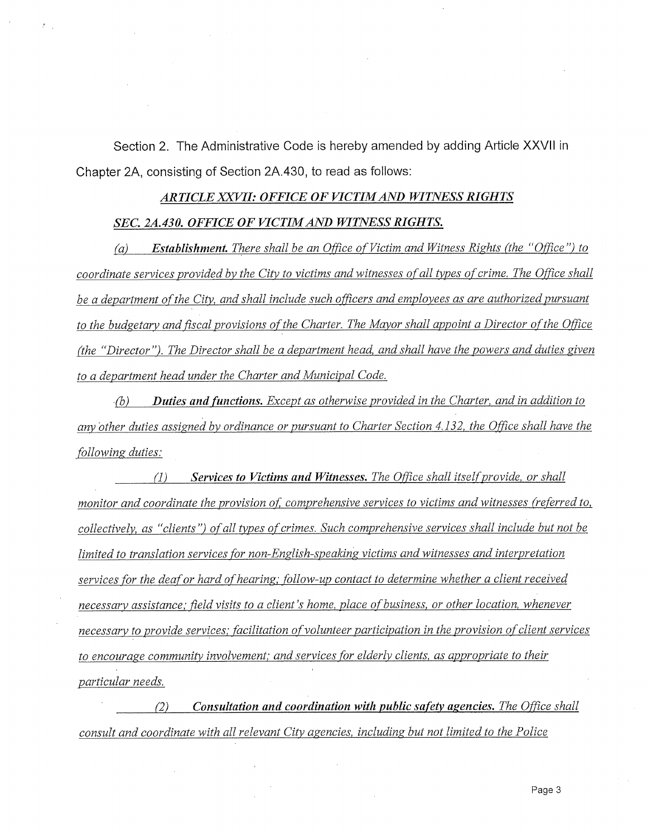Section 2. The Administrative Code is hereby amended by adding Article XXVII in Chapter 2A, consisting of Section 2A.430, to read as follows:

### ARTICLE XXVII: OFFICE OF VICTIM AND WITNESS RIGHTS

### SEC. 2A.430. OFFICE OF VICTIM AND WITNESS RIGHTS.

**Establishment.** There shall be an Office of Victim and Witness Rights (the "Office") to  $(a)$ coordinate services provided by the City to victims and witnesses of all types of crime. The Office shall be a department of the City, and shall include such officers and employees as are authorized pursuant to the budgetary and fiscal provisions of the Charter. The Mayor shall appoint a Director of the Office (the "Director"). The Director shall be a department head, and shall have the powers and duties given to a department head under the Charter and Municipal Code.

**Duties and functions.** Except as otherwise provided in the Charter, and in addition to  $\cdot$ (b) any other duties assigned by ordinance or pursuant to Charter Section 4.132, the Office shall have the following duties:

Services to Victims and Witnesses. The Office shall itself provide, or shall  $(1)$ monitor and coordinate the provision of, comprehensive services to victims and witnesses (referred to, collectively, as "clients") of all types of crimes. Such comprehensive services shall include but not be limited to translation services for non-English-speaking victims and witnesses and interpretation services for the deaf or hard of hearing; follow-up contact to determine whether a client received necessary assistance; field visits to a client's home, place of business, or other location, whenever necessary to provide services; facilitation of volunteer participation in the provision of client services to encourage community involvement; and services for elderly clients, as appropriate to their particular needs.

Consultation and coordination with public safety agencies. The Office shall  $(2)$ consult and coordinate with all relevant City agencies, including but not limited to the Police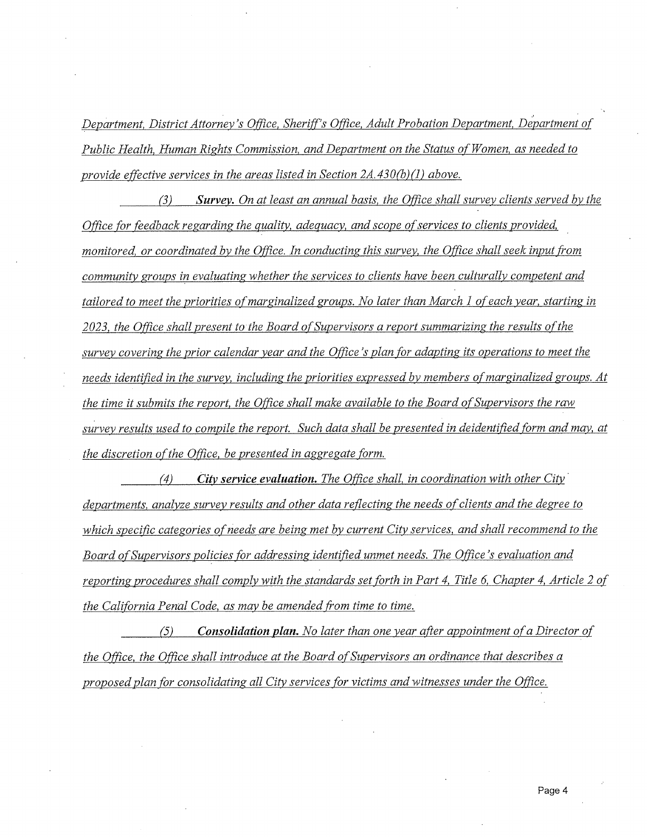Department, District Attorney's Office, Sheriff's Office, Adult Probation Department, Department of Public Health, Human Rights Commission, and Department on the Status of Women, as needed to provide effective services in the areas listed in Section 2A.430(b)(1) above.

Survey. On at least an annual basis, the Office shall survey clients served by the  $(3)$ Office for feedback regarding the quality, adequacy, and scope of services to clients provided, monitored, or coordinated by the Office. In conducting this survey, the Office shall seek input from community groups in evaluating whether the services to clients have been culturally competent and tailored to meet the priorities of marginalized groups. No later than March 1 of each year, starting in 2023, the Office shall present to the Board of Supervisors a report summarizing the results of the survey covering the prior calendar year and the Office's plan for adapting its operations to meet the needs identified in the survey, including the priorities expressed by members of marginalized groups. At the time it submits the report, the Office shall make available to the Board of Supervisors the raw survey results used to compile the report. Such data shall be presented in deidentified form and may, at the discretion of the Office, be presented in aggregate form.

City service evaluation. The Office shall, in coordination with other City  $(4)$ departments, analyze survey results and other data reflecting the needs of clients and the degree to which specific categories of needs are being met by current City services, and shall recommend to the Board of Supervisors policies for addressing identified unmet needs. The Office's evaluation and reporting procedures shall comply with the standards set forth in Part 4, Title 6, Chapter 4, Article 2 of the California Penal Code, as may be amended from time to time.

**Consolidation plan.** No later than one year after appointment of a Director of  $(5)$ the Office, the Office shall introduce at the Board of Supervisors an ordinance that describes a proposed plan for consolidating all City services for victims and witnesses under the Office.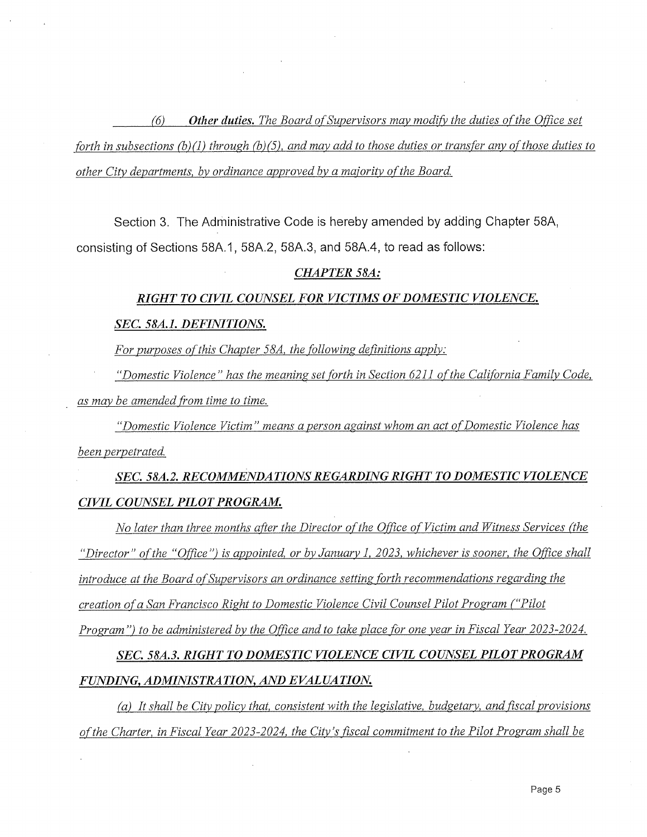**Other duties.** The Board of Supervisors may modify the duties of the Office set  $(6)$ forth in subsections  $(b)(1)$  through  $(b)(5)$ , and may add to those duties or transfer any of those duties to other City departments, by ordinance approved by a majority of the Board.

Section 3. The Administrative Code is hereby amended by adding Chapter 58A, consisting of Sections 58A.1, 58A.2, 58A.3, and 58A.4, to read as follows:

#### **CHAPTER 58A:**

#### RIGHT TO CIVIL COUNSEL FOR VICTIMS OF DOMESTIC VIOLENCE.

#### SEC. 58A.1. DEFINITIONS.

For purposes of this Chapter 58A, the following definitions apply:

"Domestic Violence" has the meaning set forth in Section 6211 of the California Family Code, as may be amended from time to time.

"Domestic Violence Victim" means a person against whom an act of Domestic Violence has been perpetrated.

SEC. 58A.2. RECOMMENDATIONS REGARDING RIGHT TO DOMESTIC VIOLENCE CIVIL COUNSEL PILOT PROGRAM.

No later than three months after the Director of the Office of Victim and Witness Services (the "Director" of the "Office") is appointed, or by January 1, 2023, whichever is sooner, the Office shall introduce at the Board of Supervisors an ordinance setting forth recommendations regarding the creation of a San Francisco Right to Domestic Violence Civil Counsel Pilot Program ("Pilot") Program") to be administered by the Office and to take place for one year in Fiscal Year 2023-2024.

SEC. 58A.3. RIGHT TO DOMESTIC VIOLENCE CIVIL COUNSEL PILOT PROGRAM FUNDING, ADMINISTRATION, AND EVALUATION.

(a) It shall be City policy that, consistent with the legislative, budgetary, and fiscal provisions of the Charter, in Fiscal Year 2023-2024, the City's fiscal commitment to the Pilot Program shall be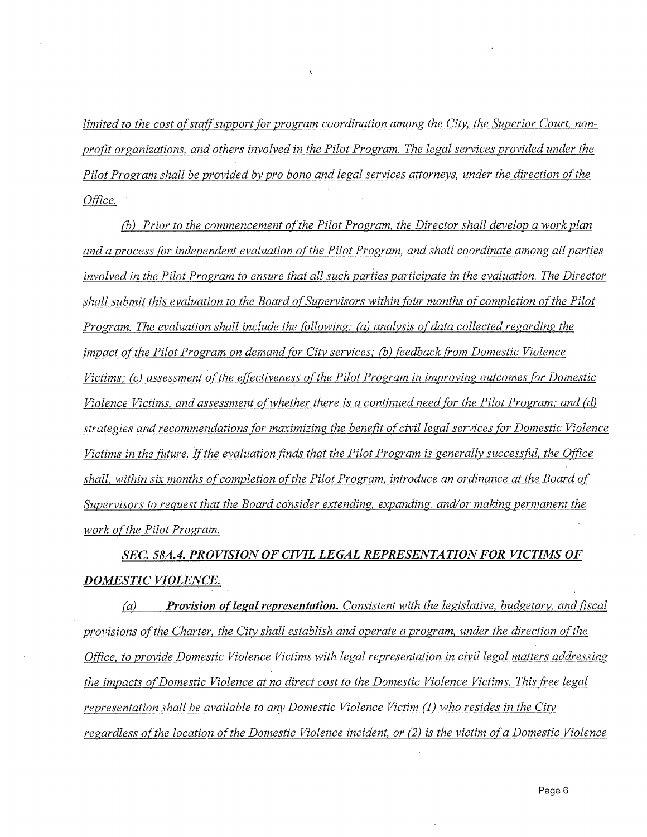limited to the cost of staff support for program coordination among the City, the Superior Court, nonprofit organizations, and others involved in the Pilot Program. The legal services provided under the Pilot Program shall be provided by pro bono and legal services attorneys, under the direction of the Office.

(b) Prior to the commencement of the Pilot Program, the Director shall develop a work plan and a process for independent evaluation of the Pilot Program, and shall coordinate among all parties involved in the Pilot Program to ensure that all such parties participate in the evaluation. The Director shall submit this evaluation to the Board of Supervisors within four months of completion of the Pilot Program. The evaluation shall include the following: (a) analysis of data collected regarding the impact of the Pilot Program on demand for City services; (b) feedback from Domestic Violence Victims; (c) assessment of the effectiveness of the Pilot Program in improving outcomes for Domestic Violence Victims, and assessment of whether there is a continued need for the Pilot Program; and (d) strategies and recommendations for maximizing the benefit of civil legal services for Domestic Violence Victims in the future. If the evaluation finds that the Pilot Program is generally successful, the Office shall, within six months of completion of the Pilot Program, introduce an ordinance at the Board of Supervisors to request that the Board consider extending, expanding, and/or making permanent the work of the Pilot Program.

SEC. 58A.4. PROVISION OF CIVIL LEGAL REPRESENTATION FOR VICTIMS OF DOMESTIC VIOLENCE.

**Provision of legal representation.** Consistent with the legislative, budgetary, and fiscal  $(a)$ provisions of the Charter, the City shall establish and operate a program, under the direction of the Office, to provide Domestic Violence Victims with legal representation in civil legal matters addressing the impacts of Domestic Violence at no direct cost to the Domestic Violence Victims. This free legal representation shall be available to any Domestic Violence Victim (1) who resides in the City regardless of the location of the Domestic Violence incident, or (2) is the victim of a Domestic Violence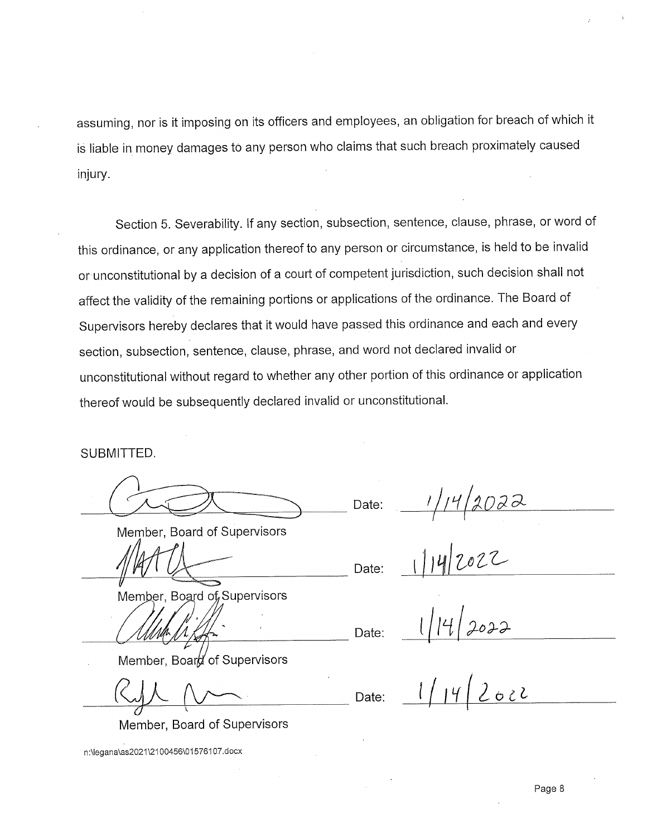assuming, nor is it imposing on its officers and employees, an obligation for breach of which it is liable in money damages to any person who claims that such breach proximately caused injury.

Section 5. Severability. If any section, subsection, sentence, clause, phrase, or word of this ordinance, or any application thereof to any person or circumstance, is held to be invalid or unconstitutional by a decision of a court of competent jurisdiction, such decision shall not affect the validity of the remaining portions or applications of the ordinance. The Board of Supervisors hereby declares that it would have passed this ordinance and each and every section, subsection, sentence, clause, phrase, and word not declared invalid or unconstitutional without regard to whether any other portion of this ordinance or application thereof would be subsequently declared invalid or unconstitutional.

Date:

Date:

Date:

SUBMITTED.

Member, Board of Supervisors

Member, Board of Supervisors

Member, Board of Supervisors

Member, Board of Supervisors

n:\legana\as2021\2100456\01576107.docx

1/14/2022<br>14/2022 Date:

 $14/2000$